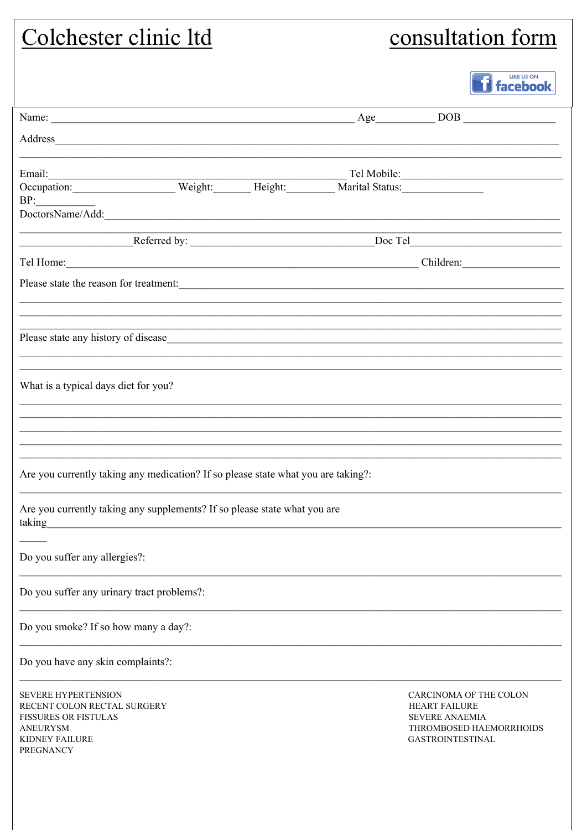| Colchester clinic ltd                                                                                                                                                                                                                 | consultation form                                          |                                                                          |                                                   |
|---------------------------------------------------------------------------------------------------------------------------------------------------------------------------------------------------------------------------------------|------------------------------------------------------------|--------------------------------------------------------------------------|---------------------------------------------------|
|                                                                                                                                                                                                                                       |                                                            |                                                                          | <b>LIKE US ON</b><br><b>i</b> facebook.           |
|                                                                                                                                                                                                                                       |                                                            |                                                                          |                                                   |
|                                                                                                                                                                                                                                       |                                                            |                                                                          |                                                   |
|                                                                                                                                                                                                                                       |                                                            |                                                                          |                                                   |
| Email: Tel Mobile: Tel Mobile: Tel Mobile: Tel Mobile: Tel Mobile: Coccupation: Veight: Weight: Marital Status: National Coccupation: Tel Mobile: National Status: National Coccupation: National Coccupation: National Coccup<br>BP: |                                                            |                                                                          |                                                   |
| DoctorsName/Add:                                                                                                                                                                                                                      |                                                            |                                                                          |                                                   |
|                                                                                                                                                                                                                                       | <u> 1989 - Johann Barbara, martxa alemaniar amerikan a</u> |                                                                          |                                                   |
| Tel Home: Children: Children:                                                                                                                                                                                                         |                                                            |                                                                          |                                                   |
| Please state the reason for treatment:                                                                                                                                                                                                |                                                            |                                                                          |                                                   |
|                                                                                                                                                                                                                                       |                                                            |                                                                          |                                                   |
| What is a typical days diet for you?                                                                                                                                                                                                  |                                                            |                                                                          |                                                   |
| Are you currently taking any medication? If so please state what you are taking?:                                                                                                                                                     |                                                            |                                                                          |                                                   |
| Are you currently taking any supplements? If so please state what you are<br>taking<br><u> 1989 - Johann Stoff, amerikansk politiker (d. 1989)</u>                                                                                    |                                                            |                                                                          |                                                   |
| Do you suffer any allergies?:                                                                                                                                                                                                         |                                                            |                                                                          |                                                   |
| Do you suffer any urinary tract problems?:                                                                                                                                                                                            |                                                            |                                                                          |                                                   |
| Do you smoke? If so how many a day?:                                                                                                                                                                                                  |                                                            |                                                                          |                                                   |
| Do you have any skin complaints?:                                                                                                                                                                                                     |                                                            |                                                                          |                                                   |
| SEVERE HYPERTENSION<br>RECENT COLON RECTAL SURGERY<br><b>FISSURES OR FISTULAS</b><br><b>ANEURYSM</b><br><b>KIDNEY FAILURE</b><br><b>PREGNANCY</b>                                                                                     |                                                            | <b>HEART FAILURE</b><br><b>SEVERE ANAEMIA</b><br><b>GASTROINTESTINAL</b> | CARCINOMA OF THE COLON<br>THROMBOSED HAEMORRHOIDS |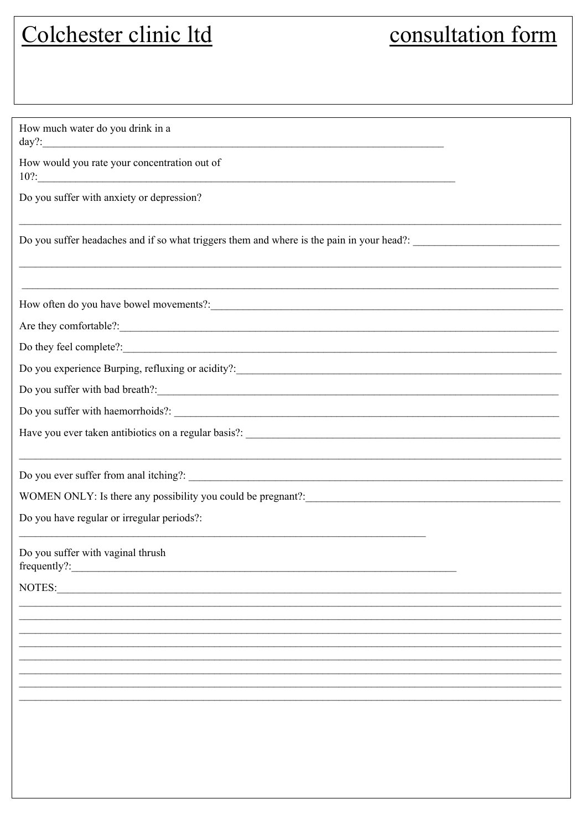# Colchester clinic ltd

## consultation form

| How much water do you drink in a                                                                                 |
|------------------------------------------------------------------------------------------------------------------|
| How would you rate your concentration out of<br>$10?$ :                                                          |
| Do you suffer with anxiety or depression?                                                                        |
| Do you suffer headaches and if so what triggers them and where is the pain in your head?: ______________________ |
| How often do you have bowel movements?:                                                                          |
| Are they comfortable?:                                                                                           |
|                                                                                                                  |
|                                                                                                                  |
|                                                                                                                  |
| Do you suffer with haemorrhoids?:                                                                                |
|                                                                                                                  |
|                                                                                                                  |
|                                                                                                                  |
| Do you have regular or irregular periods?:                                                                       |
| Do you suffer with vaginal thrush                                                                                |
| NOTES:                                                                                                           |
|                                                                                                                  |
|                                                                                                                  |
|                                                                                                                  |
|                                                                                                                  |
|                                                                                                                  |
|                                                                                                                  |
|                                                                                                                  |
|                                                                                                                  |
|                                                                                                                  |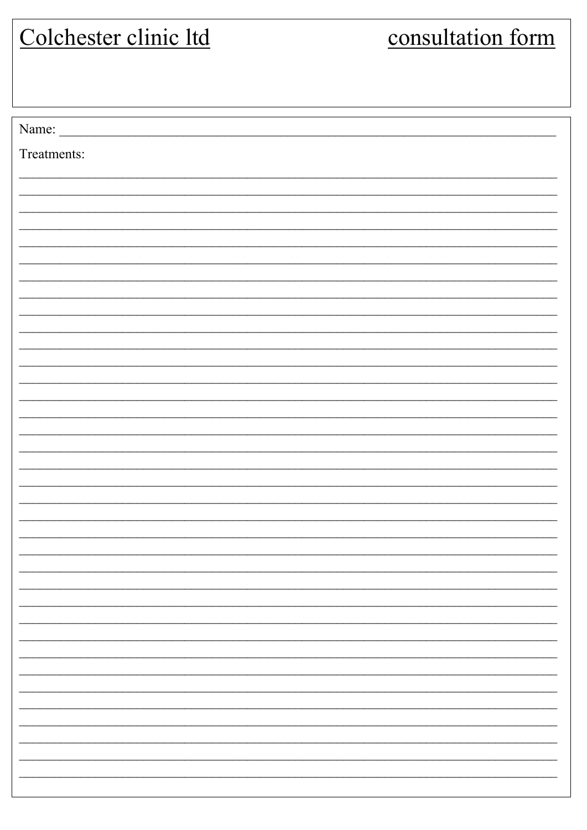| Colchester clinic ltd | consultation form |  |
|-----------------------|-------------------|--|
|                       |                   |  |
|                       |                   |  |
|                       |                   |  |
| Name:                 |                   |  |
| Treatments:           |                   |  |
|                       |                   |  |
|                       |                   |  |
|                       |                   |  |
|                       |                   |  |
|                       |                   |  |
|                       |                   |  |
|                       |                   |  |
|                       |                   |  |
|                       |                   |  |
|                       |                   |  |
|                       |                   |  |
|                       |                   |  |
|                       |                   |  |
|                       |                   |  |
|                       |                   |  |
|                       |                   |  |
|                       |                   |  |
|                       |                   |  |
|                       |                   |  |
|                       |                   |  |
|                       |                   |  |
|                       |                   |  |
|                       |                   |  |
|                       |                   |  |
|                       |                   |  |
|                       |                   |  |
|                       |                   |  |